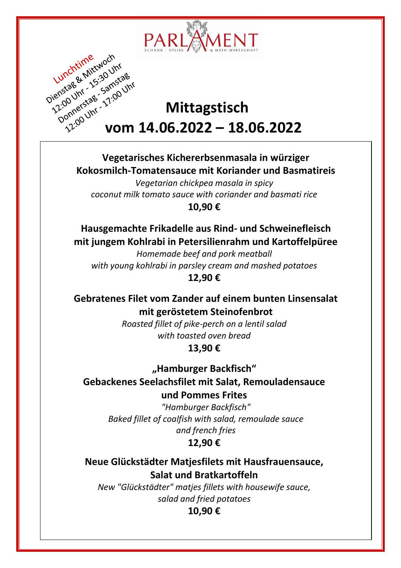



**Vegetarisches Kichererbsenmasala in würziger Kokosmilch-Tomatensauce mit Koriander und Basmatireis**

*Vegetarian chickpea masala in spicy coconut milk tomato sauce with coriander and basmati rice* **10,90 €**

**Hausgemachte Frikadelle aus Rind- und Schweinefleisch mit jungem Kohlrabi in Petersilienrahm und Kartoffelpüree**

*Homemade beef and pork meatball with young kohlrabi in parsley cream and mashed potatoes* **12,90 €**

**Gebratenes Filet vom Zander auf einem bunten Linsensalat mit geröstetem Steinofenbrot**

> *Roasted fillet of pike-perch on a lentil salad with toasted oven bread*

**13,90 €**

**"Hamburger Backfisch" Gebackenes Seelachsfilet mit Salat, Remouladensauce und Pommes Frites** 

> *"Hamburger Backfisch" Baked fillet of coalfish with salad, remoulade sauce and french fries* **12,90 €**

**Neue Glückstädter Matjesfilets mit Hausfrauensauce, Salat und Bratkartoffeln**

*New "Glückstädter" matjes fillets with housewife sauce, salad and fried potatoes*

**10,90 €**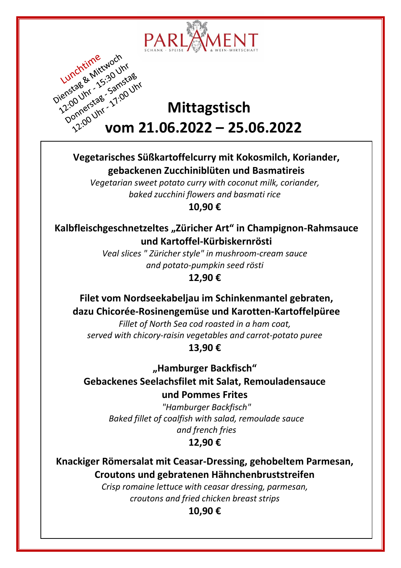

# Dienstagen 15:30 University **Mittagstisch**<br> **Mittagstisch**<br> **Mittagstisch**<br>
Pannerstale **Mittagstisch vom 21.06.2022 – 25.06.2022**

#### **Vegetarisches Süßkartoffelcurry mit Kokosmilch, Koriander, gebackenen Zucchiniblüten und Basmatireis**

*Vegetarian sweet potato curry with coconut milk, coriander, baked zucchini flowers and basmati rice*

**10,90 €**

**Kalbfleischgeschnetzeltes "Züricher Art" in Champignon-Rahmsauce und Kartoffel-Kürbiskernrösti**

> *Veal slices " Züricher style" in mushroom-cream sauce and potato-pumpkin seed rösti*

**12,90 €**

**Filet vom Nordseekabeljau im Schinkenmantel gebraten, dazu Chicorée-Rosinengemüse und Karotten-Kartoffelpüree**

*Fillet of North Sea cod roasted in a ham coat, served with chicory-raisin vegetables and carrot-potato puree* **13,90 €**

**"Hamburger Backfisch" Gebackenes Seelachsfilet mit Salat, Remouladensauce und Pommes Frites** 

*"Hamburger Backfisch" Baked fillet of coalfish with salad, remoulade sauce and french fries*

### **12,90 €**

**Knackiger Römersalat mit Ceasar-Dressing, gehobeltem Parmesan, Croutons und gebratenen Hähnchenbruststreifen**

*Crisp romaine lettuce with ceasar dressing, parmesan, croutons and fried chicken breast strips*

**10,90 €**